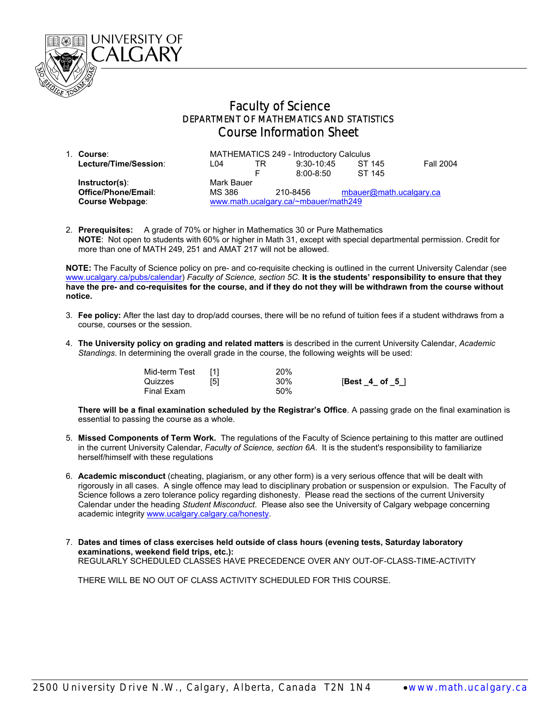

## Faculty of Science DEPARTMENT OF MATHEMATICS AND STATISTICS Course Information Sheet

| 1. Course:             | MATHEMATICS 249 - Introductory Calculus |    |               |                         |                  |
|------------------------|-----------------------------------------|----|---------------|-------------------------|------------------|
| Lecture/Time/Session:  | I 04                                    | TR | $9:30-10:45$  | ST 145                  | <b>Fall 2004</b> |
|                        |                                         | F  | $8:00 - 8:50$ | ST 145                  |                  |
| $Instructor(s)$ :      | Mark Bauer                              |    |               |                         |                  |
| Office/Phone/Email:    | MS 386                                  |    | 210-8456      | mbauer@math.ucalgary.ca |                  |
| <b>Course Webpage:</b> | www.math.ucalgary.ca/~mbauer/math249    |    |               |                         |                  |

2. **Prerequisites:** A grade of 70% or higher in Mathematics 30 or Pure Mathematics  **NOTE**: Not open to students with 60% or higher in Math 31, except with special departmental permission. Credit for more than one of MATH 249, 251 and AMAT 217 will not be allowed.

**NOTE:** The Faculty of Science policy on pre- and co-requisite checking is outlined in the current University Calendar (see www.ucalgary.ca/pubs/calendar) *Faculty of Science, section 5C*. **It is the students' responsibility to ensure that they have the pre- and co-requisites for the course, and if they do not they will be withdrawn from the course without notice.** 

- 3. **Fee policy:** After the last day to drop/add courses, there will be no refund of tuition fees if a student withdraws from a course, courses or the session.
- 4. **The University policy on grading and related matters** is described in the current University Calendar, *Academic Standings*. In determining the overall grade in the course, the following weights will be used:

| Mid-term Test |     | 20% |                  |
|---------------|-----|-----|------------------|
| Quizzes       | [5] | 30% | $[Best_4_ of_5]$ |
| Final Exam    |     | 50% |                  |

**There will be a final examination scheduled by the Registrar's Office**. A passing grade on the final examination is essential to passing the course as a whole.

- 5. **Missed Components of Term Work.** The regulations of the Faculty of Science pertaining to this matter are outlined in the current University Calendar, *Faculty of Science, section 6A*. It is the student's responsibility to familiarize herself/himself with these regulations
- 6. **Academic misconduct** (cheating, plagiarism, or any other form) is a very serious offence that will be dealt with rigorously in all cases. A single offence may lead to disciplinary probation or suspension or expulsion. The Faculty of Science follows a zero tolerance policy regarding dishonesty. Please read the sections of the current University Calendar under the heading *Student Misconduct*. Please also see the University of Calgary webpage concerning academic integrity www.ucalgary.calgary.ca/honesty.
- 7. **Dates and times of class exercises held outside of class hours (evening tests, Saturday laboratory examinations, weekend field trips, etc.):** REGULARLY SCHEDULED CLASSES HAVE PRECEDENCE OVER ANY OUT-OF-CLASS-TIME-ACTIVITY

THERE WILL BE NO OUT OF CLASS ACTIVITY SCHEDULED FOR THIS COURSE.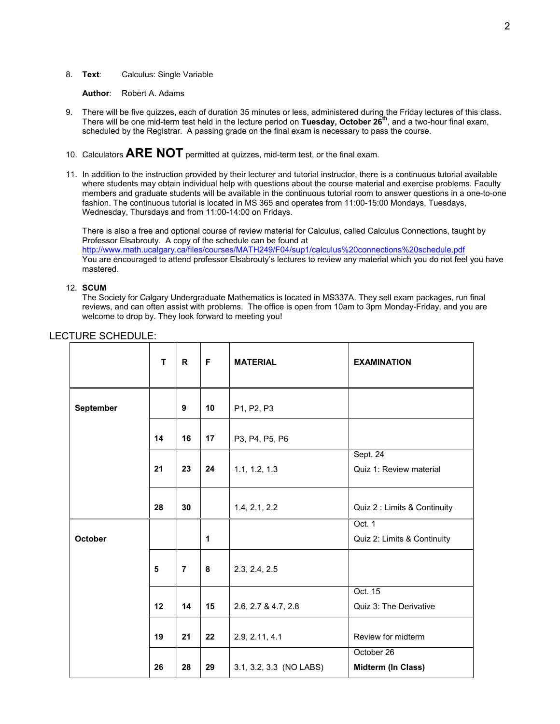8. **Text**: Calculus: Single Variable

**Author**: Robert A. Adams

- 9. There will be five quizzes, each of duration 35 minutes or less, administered during the Friday lectures of this class. There will be one mid-term test held in the lecture period on **Tuesday, October 26th**, and a two-hour final exam, scheduled by the Registrar. A passing grade on the final exam is necessary to pass the course.
- 10. Calculators **ARE NOT** permitted at quizzes, mid-term test, or the final exam.
- 11. In addition to the instruction provided by their lecturer and tutorial instructor, there is a continuous tutorial available where students may obtain individual help with questions about the course material and exercise problems. Faculty members and graduate students will be available in the continuous tutorial room to answer questions in a one-to-one fashion. The continuous tutorial is located in MS 365 and operates from 11:00-15:00 Mondays, Tuesdays, Wednesday, Thursdays and from 11:00-14:00 on Fridays.

There is also a free and optional course of review material for Calculus, called Calculus Connections, taught by Professor Elsabrouty. A copy of the schedule can be found at http://www.math.ucalgary.ca/files/courses/MATH249/F04/sup1/calculus%20connections%20schedule.pdf

You are encouraged to attend professor Elsabrouty's lectures to review any material which you do not feel you have mastered.

## 12. **SCUM**

The Society for Calgary Undergraduate Mathematics is located in MS337A. They sell exam packages, run final reviews, and can often assist with problems. The office is open from 10am to 3pm Monday-Friday, and you are welcome to drop by. They look forward to meeting you!

|           | T  | $\mathsf{R}$   | F  | <b>MATERIAL</b>         | <b>EXAMINATION</b>                    |
|-----------|----|----------------|----|-------------------------|---------------------------------------|
| September |    | 9              | 10 | P1, P2, P3              |                                       |
|           | 14 | 16             | 17 | P3, P4, P5, P6          |                                       |
|           | 21 | 23             | 24 | 1.1, 1.2, 1.3           | Sept. 24<br>Quiz 1: Review material   |
|           | 28 | 30             |    | 1.4, 2.1, 2.2           | Quiz 2 : Limits & Continuity          |
| October   |    |                | 1  |                         | Oct. 1<br>Quiz 2: Limits & Continuity |
|           | 5  | $\overline{7}$ | 8  | 2.3, 2.4, 2.5           |                                       |
|           | 12 | 14             | 15 | 2.6, 2.7 & 4.7, 2.8     | Oct. 15<br>Quiz 3: The Derivative     |
|           | 19 | 21             | 22 | 2.9, 2.11, 4.1          | Review for midterm                    |
|           | 26 | 28             | 29 | 3.1, 3.2, 3.3 (NO LABS) | October 26<br>Midterm (In Class)      |

## LECTURE SCHEDULE: